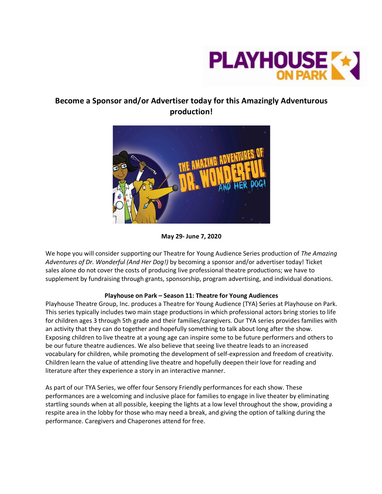

# **Become a Sponsor and/or Advertiser today for this Amazingly Adventurous production!**



**May 29- June 7, 2020**

We hope you will consider supporting our Theatre for Young Audience Series production of *The Amazing Adventures of Dr. Wonderful (And Her Dog!)* by becoming a sponsor and/or advertiser today! Ticket sales alone do not cover the costs of producing live professional theatre productions; we have to supplement by fundraising through grants, sponsorship, program advertising, and individual donations.

### **Playhouse on Park – Season 11: Theatre for Young Audiences**

Playhouse Theatre Group, Inc. produces a Theatre for Young Audience (TYA) Series at Playhouse on Park. This series typically includes two main stage productions in which professional actors bring stories to life for children ages 3 through 5th grade and their families/caregivers. Our TYA series provides families with an activity that they can do together and hopefully something to talk about long after the show. Exposing children to live theatre at a young age can inspire some to be future performers and others to be our future theatre audiences. We also believe that seeing live theatre leads to an increased vocabulary for children, while promoting the development of self-expression and freedom of creativity. Children learn the value of attending live theatre and hopefully deepen their love for reading and literature after they experience a story in an interactive manner.

As part of our TYA Series, we offer four Sensory Friendly performances for each show. These performances are a welcoming and inclusive place for families to engage in live theater by eliminating startling sounds when at all possible, keeping the lights at a low level throughout the show, providing a respite area in the lobby for those who may need a break, and giving the option of talking during the performance. Caregivers and Chaperones attend for free.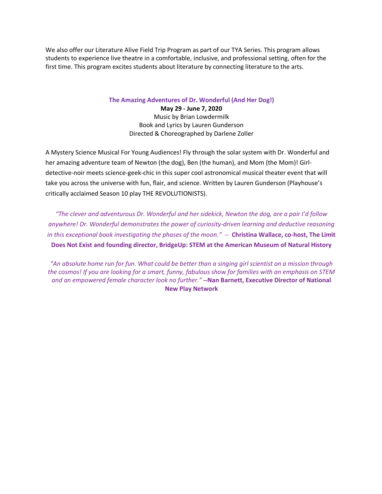We also offer our Literature Alive Field Trip Program as part of our TYA Series. This program allows students to experience live theatre in a comfortable, inclusive, and professional setting, often for the first time. This program excites students about literature by connecting literature to the arts.

**The Amazing Adventures of Dr. Wonderful (And Her Dog!)**

**May 29 - June 7, 2020** Music by Brian Lowdermilk Book and Lyrics by Lauren Gunderson Directed & Choreographed by Darlene Zoller

A Mystery Science Musical For Young Audiences! Fly through the solar system with Dr. Wonderful and her amazing adventure team of Newton (the dog), Ben (the human), and Mom (the Mom)! Girldetective-noir meets science-geek-chic in this super cool astronomical musical theater event that will take you across the universe with fun, flair, and science. Written by Lauren Gunderson (Playhouse's critically acclaimed Season 10 play THE REVOLUTIONISTS).

*"The clever and adventurous Dr. Wonderful and her sidekick, Newton the dog, are a pair I'd follow anywhere! Dr. Wonderful demonstrates the power of curiosity-driven learning and deductive reasoning in this exceptional book investigating the phases of the moon."* -- **Christina Wallace, co-host, The Limit Does Not Exist and founding director, BridgeUp: STEM at the American Museum of Natural History**

"An absolute home run for fun. What could be better than a singing girl scientist on a mission through the cosmos! If you are looking for a smart, funny, fabulous show for families with an emphasis on STEM *and an empowered female character look no further."* **--Nan Barnett, Executive Director of National New Play Network**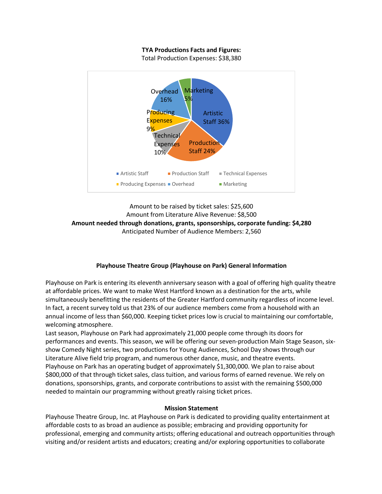### **TYA Productions Facts and Figures:**

Total Production Expenses: \$38,380



## Amount to be raised by ticket sales: \$25,600 Amount from Literature Alive Revenue: \$8,500 **Amount needed through donations, grants, sponsorships, corporate funding: \$4,280** Anticipated Number of Audience Members: 2,560

### **Playhouse Theatre Group (Playhouse on Park) General Information**

Playhouse on Park is entering its eleventh anniversary season with a goal of offering high quality theatre at affordable prices. We want to make West Hartford known as a destination for the arts, while simultaneously benefitting the residents of the Greater Hartford community regardless of income level. In fact, a recent survey told us that 23% of our audience members come from a household with an annual income of less than \$60,000. Keeping ticket prices low is crucial to maintaining our comfortable, welcoming atmosphere.

Last season, Playhouse on Park had approximately 21,000 people come through its doors for performances and events. This season, we will be offering our seven-production Main Stage Season, sixshow Comedy Night series, two productions for Young Audiences, School Day shows through our Literature Alive field trip program, and numerous other dance, music, and theatre events. Playhouse on Park has an operating budget of approximately \$1,300,000. We plan to raise about \$800,000 of that through ticket sales, class tuition, and various forms of earned revenue. We rely on donations, sponsorships, grants, and corporate contributions to assist with the remaining \$500,000 needed to maintain our programming without greatly raising ticket prices.

#### **Mission Statement**

Playhouse Theatre Group, Inc. at Playhouse on Park is dedicated to providing quality entertainment at affordable costs to as broad an audience as possible; embracing and providing opportunity for professional, emerging and community artists; offering educational and outreach opportunities through visiting and/or resident artists and educators; creating and/or exploring opportunities to collaborate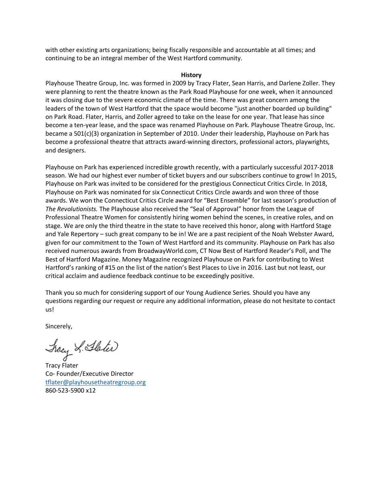with other existing arts organizations; being fiscally responsible and accountable at all times; and continuing to be an integral member of the West Hartford community.

#### **History**

Playhouse Theatre Group, Inc. was formed in 2009 by Tracy Flater, Sean Harris, and Darlene Zoller. They were planning to rent the theatre known as the Park Road Playhouse for one week, when it announced it was closing due to the severe economic climate of the time. There was great concern among the leaders of the town of West Hartford that the space would become "just another boarded up building" on Park Road. Flater, Harris, and Zoller agreed to take on the lease for one year. That lease has since become a ten-year lease, and the space was renamed Playhouse on Park. Playhouse Theatre Group, Inc. became a 501(c)(3) organization in September of 2010. Under their leadership, Playhouse on Park has become a professional theatre that attracts award-winning directors, professional actors, playwrights, and designers.

Playhouse on Park has experienced incredible growth recently, with a particularly successful 2017-2018 season. We had our highest ever number of ticket buyers and our subscribers continue to grow! In 2015, Playhouse on Park was invited to be considered for the prestigious Connecticut Critics Circle. In 2018, Playhouse on Park was nominated for six Connecticut Critics Circle awards and won three of those awards. We won the Connecticut Critics Circle award for "Best Ensemble" for last season's production of *The Revolutionists.* The Playhouse also received the "Seal of Approval" honor from the League of Professional Theatre Women for consistently hiring women behind the scenes, in creative roles, and on stage. We are only the third theatre in the state to have received this honor, along with Hartford Stage and Yale Repertory – such great company to be in! We are a past recipient of the Noah Webster Award, given for our commitment to the Town of West Hartford and its community. Playhouse on Park has also received numerous awards from BroadwayWorld.com, CT Now Best of Hartford Reader's Poll, and The Best of Hartford Magazine. Money Magazine recognized Playhouse on Park for contributing to West Hartford's ranking of #15 on the list of the nation's Best Places to Live in 2016. Last but not least, our critical acclaim and audience feedback continue to be exceedingly positive.

Thank you so much for considering support of our Young Audience Series*.* Should you have any questions regarding our request or require any additional information, please do not hesitate to contact us!

Sincerely,

Jracy & Stoter

Tracy Flater Co- Founder/Executive Director tflater@playhousetheatregroup.org 860-523-5900 x12